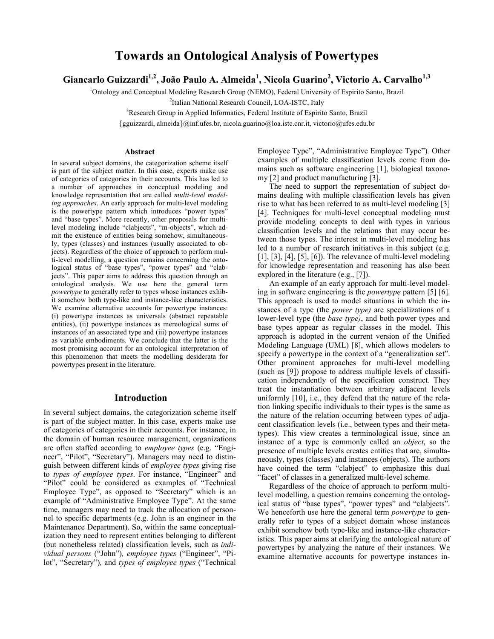# **Towards an Ontological Analysis of Powertypes**

**Giancarlo Guizzardi1,2, João Paulo A. Almeida1 , Nicola Guarino<sup>2</sup> , Victorio A. Carvalho1,3**

<sup>1</sup>Ontology and Conceptual Modeling Research Group (NEMO), Federal University of Espirito Santo, Brazil

<sup>2</sup>Italian National Research Council, LOA-ISTC, Italy

<sup>3</sup>Research Group in Applied Informatics, Federal Institute of Espirito Santo, Brazil

{gguizzardi, almeida}@inf.ufes.br, nicola.guarino@loa.istc.cnr.it, victorio@ufes.edu.br

#### **Abstract**

In several subject domains, the categorization scheme itself is part of the subject matter. In this case, experts make use of categories of categories in their accounts. This has led to a number of approaches in conceptual modeling and knowledge representation that are called *multi-level modeling approaches*. An early approach for multi-level modeling is the powertype pattern which introduces "power types" and "base types". More recently, other proposals for multilevel modeling include "clabjects", "m-objects", which admit the existence of entities being somehow, simultaneously, types (classes) and instances (usually associated to objects). Regardless of the choice of approach to perform multi-level modelling, a question remains concerning the ontological status of "base types", "power types" and "clabjects". This paper aims to address this question through an ontological analysis. We use here the general term *powertype* to generally refer to types whose instances exhibit somehow both type-like and instance-like characteristics. We examine alternative accounts for powertype instances: (i) powertype instances as universals (abstract repeatable entities), (ii) powertype instances as mereological sums of instances of an associated type and (iii) powertype instances as variable embodiments. We conclude that the latter is the most promising account for an ontological interpretation of this phenomenon that meets the modelling desiderata for powertypes present in the literature.

### **Introduction**

In several subject domains, the categorization scheme itself is part of the subject matter. In this case, experts make use of categories of categories in their accounts. For instance, in the domain of human resource management, organizations are often staffed according to *employee types* (e.g. "Engineer", "Pilot", "Secretary"). Managers may need to distinguish between different kinds of *employee types* giving rise to *types of employee types*. For instance, "Engineer" and "Pilot" could be considered as examples of "Technical Employee Type", as opposed to "Secretary" which is an example of "Administrative Employee Type". At the same time, managers may need to track the allocation of personnel to specific departments (e.g. John is an engineer in the Maintenance Department). So, within the same conceptualization they need to represent entities belonging to different (but nonetheless related) classification levels, such as *individual persons* ("John")*, employee types* ("Engineer", "Pilot", "Secretary")*,* and *types of employee types* ("Technical Employee Type", "Administrative Employee Type")*.* Other examples of multiple classification levels come from domains such as software engineering [1], biological taxonomy [2] and product manufacturing [3].

The need to support the representation of subject domains dealing with multiple classification levels has given rise to what has been referred to as multi-level modeling [3] [4]. Techniques for multi-level conceptual modeling must provide modeling concepts to deal with types in various classification levels and the relations that may occur between those types. The interest in multi-level modeling has led to a number of research initiatives in this subject (e.g. [1], [3], [4], [5], [6]). The relevance of multi-level modeling for knowledge representation and reasoning has also been explored in the literature (e.g., [7]).

An example of an early approach for multi-level modeling in software engineering is the *powertype* pattern [5] [6]. This approach is used to model situations in which the instances of a type (the *power type)* are specializations of a lower-level type (the *base type)*, and both power types and base types appear as regular classes in the model. This approach is adopted in the current version of the Unified Modeling Language (UML) [8], which allows modelers to specify a powertype in the context of a "generalization set". Other prominent approaches for multi-level modelling (such as [9]) propose to address multiple levels of classification independently of the specification construct. They treat the instantiation between arbitrary adjacent levels uniformly [10], i.e., they defend that the nature of the relation linking specific individuals to their types is the same as the nature of the relation occurring between types of adjacent classification levels (i.e., between types and their metatypes). This view creates a terminological issue, since an instance of a type is commonly called an *object*, so the presence of multiple levels creates entities that are, simultaneously, types (classes) and instances (objects). The authors have coined the term "clabject" to emphasize this dual "facet" of classes in a generalized multi-level scheme.

Regardless of the choice of approach to perform multilevel modelling, a question remains concerning the ontological status of "base types", "power types" and "clabjects". We henceforth use here the general term *powertype* to generally refer to types of a subject domain whose instances exhibit somehow both type-like and instance-like characteristics. This paper aims at clarifying the ontological nature of powertypes by analyzing the nature of their instances. We examine alternative accounts for powertype instances in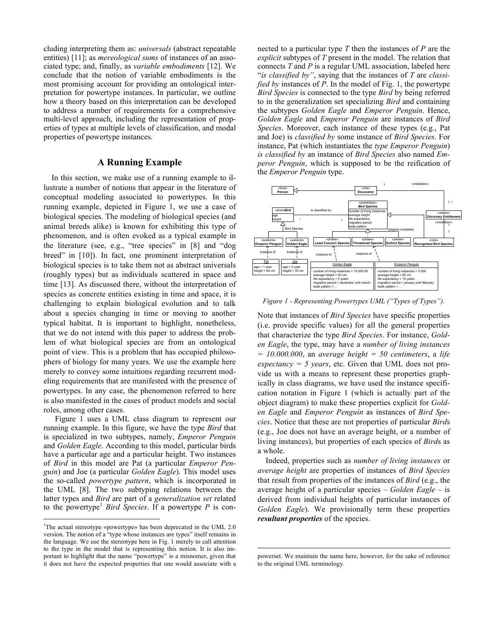cluding interpreting them as: *universals* (abstract repeatable entities) [11]; as *mereological sums* of instances of an associated type; and, finally, as *variable embodiments* [12]. We conclude that the notion of variable embodiments is the most promising account for providing an ontological interpretation for powertype instances. In particular, we outline how a theory based on this interpretation can be developed to address a number of requirements for a comprehensive multi-level approach, including the representation of properties of types at multiple levels of classification, and modal properties of powertype instances.

## **A Running Example**

In this section, we make use of a running example to illustrate a number of notions that appear in the literature of conceptual modeling associated to powertypes. In this running example, depicted in Figure 1, we use a case of biological species. The modeling of biological species (and animal breeds alike) is known for exhibiting this type of phenomenon, and is often evoked as a typical example in the literature (see, e.g., "tree species" in [8] and "dog breed" in [10]). In fact, one prominent interpretation of biological species is to take them not as abstract universals (roughly types) but as individuals scattered in space and time [13]. As discussed there, without the interpretation of species as concrete entities existing in time and space, it is challenging to explain biological evolution and to talk about a species changing in time or moving to another typical habitat. It is important to highlight, nonetheless, that we do not intend with this paper to address the problem of what biological species are from an ontological point of view. This is a problem that has occupied philosophers of biology for many years. We use the example here merely to convey some intuitions regarding recurrent modeling requirements that are manifested with the presence of powertypes. In any case, the phenomenon referred to here is also manifested in the cases of product models and social roles, among other cases.

Figure 1 uses a UML class diagram to represent our running example. In this figure, we have the type *Bird* that is specialized in two subtypes, namely, *Emperor Penguin* and *Golden Eagle*. According to this model, particular birds have a particular age and a particular height. Two instances of *Bird* in this model are Pat (a particular *Emperor Penguin*) and Joe (a particular *Golden Eagle*). This model uses the so-called *powertype pattern*, which is incorporated in the UML [8]. The two subtyping relations between the latter types and *Bird* are part of a *generalization set* related to the powertype<sup>1</sup> *Bird Species*. If a powertype  $P$  is connected to a particular type *T* then the instances of *P* are the *explicit* subtypes of *T* present in the model. The relation that connects *T* and *P* is a regular UML association, labeled here "*is classified by"*, saying that the instances of *T* are *classified by* instances of *P*. In the model of Fig. 1, the powertype *Bird Species* is connected to the type *Bird* by being referred to in the generalization set specializing *Bird* and containing the subtypes *Golden Eagle* and *Emperor Penguin*. Hence, *Golden Eagle* and *Emperor Penguin* are instances of *Bird Species*. Moreover, each instance of these types (e.g., Pat and Joe) is *classified by* some instance of *Bird Species*. For instance, Pat (which instantiates the *type Emperor Penguin*) *is classified by* an instance of *Bird Species* also named *Emperor Penguin*, which is supposed to be the reification of the *Emperor Penguin* type.



*Figure 1 - Representing Powertypes UML ("Types of Types").*

Note that instances of *Bird Species* have specific properties (i.e. provide specific values) for all the general properties that characterize the type *Bird Species*. For instance, *Golden Eagle*, the type, may have a *number of living instances = 10.000.000*, an *average height = 50 centimeters*, a *life expectancy = 5 years*, etc. Given that UML does not provide us with a means to represent these properties graphically in class diagrams, we have used the instance specification notation in Figure 1 (which is actually part of the object diagram) to make these properties explicit for *Golden Eagle* and *Emperor Penguin* as instances of *Bird Species*. Notice that these are not properties of particular *Bird*s (e.g., Joe does not have an average height, or a number of living instances), but properties of each species of *Bird*s as a whole.

Indeed, properties such as *number of living instances* or *average height* are properties of instances of *Bird Species* that result from properties of the instances of *Bird* (e.g., the average height of a particular species – *Golden Eagle* – is derived from individual heights of particular instances of *Golden Eagle*). We provisionally term these properties *resultant properties* of the species.

 $\frac{1}{1}$ <sup>1</sup>The actual stereotype «powertype» has been deprecated in the UML 2.0 version. The notion of a "type whose instances are types" itself remains in the language. We use the stereotype here in Fig. 1 merely to call attention to the type in the model that is representing this notion. It is also important to highlight that the name "powertype" is a misnomer, given that it does not have the expected properties that one would associate with a

powerset. We maintain the name here, however, for the sake of reference to the original UML terminology.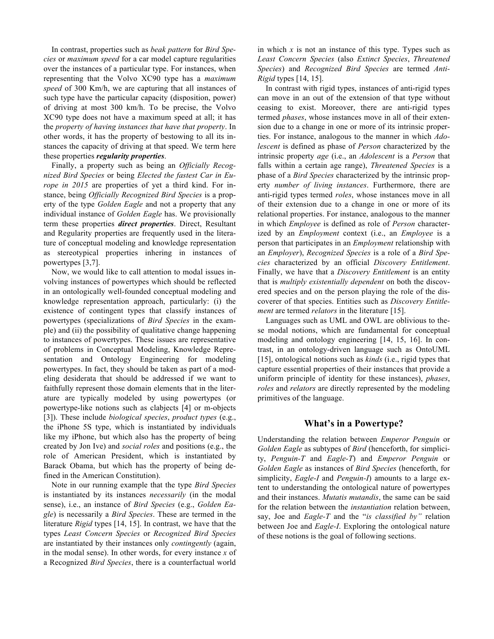In contrast, properties such as *beak pattern* for *Bird Species* or *maximum speed* for a car model capture regularities over the instances of a particular type. For instances, when representing that the Volvo XC90 type has a *maximum speed* of 300 Km/h, we are capturing that all instances of such type have the particular capacity (disposition, power) of driving at most 300 km/h. To be precise, the Volvo XC90 type does not have a maximum speed at all; it has the *property of having instances that have that property*. In other words, it has the property of bestowing to all its instances the capacity of driving at that speed. We term here these properties *regularity properties*.

Finally, a property such as being an *Officially Recognized Bird Species* or being *Elected the fastest Car in Europe in 2015* are properties of yet a third kind. For instance, being *Officially Recognized Bird Species* is a property of the type *Golden Eagle* and not a property that any individual instance of *Golden Eagle* has. We provisionally term these properties *direct properties*. Direct, Resultant and Regularity properties are frequently used in the literature of conceptual modeling and knowledge representation as stereotypical properties inhering in instances of powertypes [3,7].

Now, we would like to call attention to modal issues involving instances of powertypes which should be reflected in an ontologically well-founded conceptual modeling and knowledge representation approach, particularly: (i) the existence of contingent types that classify instances of powertypes (specializations of *Bird Species* in the example) and (ii) the possibility of qualitative change happening to instances of powertypes. These issues are representative of problems in Conceptual Modeling, Knowledge Representation and Ontology Engineering for modeling powertypes. In fact, they should be taken as part of a modeling desiderata that should be addressed if we want to faithfully represent those domain elements that in the literature are typically modeled by using powertypes (or powertype-like notions such as clabjects [4] or m-objects [3]). These include *biological species*, *product types* (e.g., the iPhone 5S type, which is instantiated by individuals like my iPhone, but which also has the property of being created by Jon Ive) and *social roles* and positions (e.g., the role of American President, which is instantiated by Barack Obama, but which has the property of being defined in the American Constitution).

Note in our running example that the type *Bird Species* is instantiated by its instances *necessarily* (in the modal sense), i.e., an instance of *Bird Species* (e.g., *Golden Eagle*) is necessarily a *Bird Species*. These are termed in the literature *Rigid* types [14, 15]. In contrast, we have that the types *Least Concern Species* or *Recognized Bird Species* are instantiated by their instances only *contingently* (again, in the modal sense). In other words, for every instance *x* of a Recognized *Bird Species*, there is a counterfactual world

in which  $x$  is not an instance of this type. Types such as *Least Concern Species* (also *Extinct Species*, *Threatened Species*) and *Recognized Bird Species* are termed *Anti-Rigid* types [14, 15].

In contrast with rigid types, instances of anti-rigid types can move in an out of the extension of that type without ceasing to exist. Moreover, there are anti-rigid types termed *phases*, whose instances move in all of their extension due to a change in one or more of its intrinsic properties. For instance, analogous to the manner in which *Adolescent* is defined as phase of *Person* characterized by the intrinsic property *age* (i.e., an *Adolescent* is a *Person* that falls within a certain age range), *Threatened Species* is a phase of a *Bird Species* characterized by the intrinsic property *number of living instances*. Furthermore, there are anti-rigid types termed *roles*, whose instances move in all of their extension due to a change in one or more of its relational properties. For instance, analogous to the manner in which *Employee* is defined as role of *Person* characterized by an *Employment* context (i.e., an *Employee* is a person that participates in an *Employment* relationship with an *Employer*), *Recognized Species* is a role of a *Bird Species* characterized by an official *Discovery Entitlement*. Finally, we have that a *Discovery Entitlement* is an entity that is *multiply existentially dependent* on both the discovered species and on the person playing the role of the discoverer of that species. Entities such as *Discovery Entitlement* are termed *relators* in the literature [15].

Languages such as UML and OWL are oblivious to these modal notions, which are fundamental for conceptual modeling and ontology engineering [14, 15, 16]. In contrast, in an ontology-driven language such as OntoUML [15], ontological notions such as *kinds* (i.e., rigid types that capture essential properties of their instances that provide a uniform principle of identity for these instances), *phases*, *roles* and *relators* are directly represented by the modeling primitives of the language.

#### **What's in a Powertype?**

Understanding the relation between *Emperor Penguin* or *Golden Eagle* as subtypes of *Bird* (henceforth, for simplicity, *Penguin-T* and *Eagle-T*) and *Emperor Penguin* or *Golden Eagle* as instances of *Bird Species* (henceforth, for simplicity, *Eagle-I* and *Penguin-I*) amounts to a large extent to understanding the ontological nature of powertypes and their instances. *Mutatis mutandis*, the same can be said for the relation between the *instantiation* relation between, say, Joe and *Eagle-T* and the "*is classified by"* relation between Joe and *Eagle-I*. Exploring the ontological nature of these notions is the goal of following sections.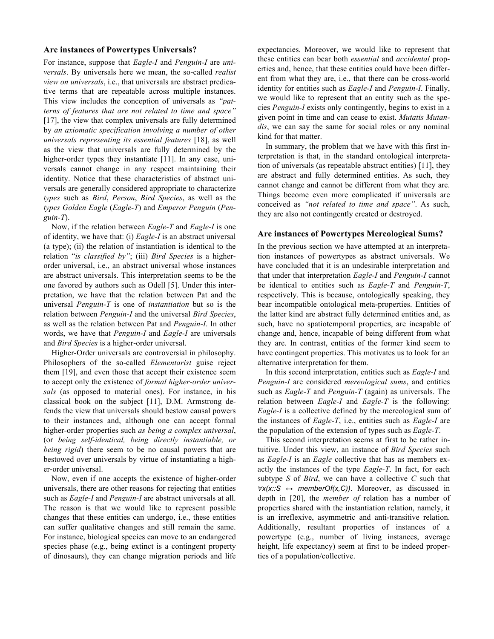### **Are instances of Powertypes Universals?**

For instance, suppose that *Eagle-I* and *Penguin-I* are *universals*. By universals here we mean, the so-called *realist view on universals*, i.e., that universals are abstract predicative terms that are repeatable across multiple instances. This view includes the conception of universals as *"patterns of features that are not related to time and space"* [17], the view that complex universals are fully determined by *an axiomatic specification involving a number of other universals representing its essential features* [18], as well as the view that universals are fully determined by the higher-order types they instantiate [11]. In any case, universals cannot change in any respect maintaining their identity. Notice that these characteristics of abstract universals are generally considered appropriate to characterize *types* such as *Bird*, *Person*, *Bird Species*, as well as the *types Golden Eagle* (*Eagle-T*) and *Emperor Penguin* (*Penguin-T*).

Now, if the relation between *Eagle-T* and *Eagle-I* is one of identity, we have that: (i) *Eagle-I* is an abstract universal (a type); (ii) the relation of instantiation is identical to the relation "*is classified by"*; (iii) *Bird Species* is a higherorder universal, i.e., an abstract universal whose instances are abstract universals. This interpretation seems to be the one favored by authors such as Odell [5]. Under this interpretation, we have that the relation between Pat and the universal *Penguin-T* is one of *instantiation* but so is the relation between *Penguin-I* and the universal *Bird Species*, as well as the relation between Pat and *Penguin-I*. In other words, we have that *Penguin-I* and *Eagle-I* are universals and *Bird Species* is a higher-order universal.

Higher-Order universals are controversial in philosophy. Philosophers of the so-called *Elementarist* guise reject them [19], and even those that accept their existence seem to accept only the existence of *formal higher-order universals* (as opposed to material ones). For instance, in his classical book on the subject [11], D.M. Armstrong defends the view that universals should bestow causal powers to their instances and, although one can accept formal higher-order properties such *as being a complex universal*, (or *being self-identical, being directly instantiable, or being rigid*) there seem to be no causal powers that are bestowed over universals by virtue of instantiating a higher-order universal.

Now, even if one accepts the existence of higher-order universals, there are other reasons for rejecting that entities such as *Eagle-I* and *Penguin-I* are abstract universals at all. The reason is that we would like to represent possible changes that these entities can undergo, i.e., these entities can suffer qualitative changes and still remain the same. For instance, biological species can move to an endangered species phase (e.g., being extinct is a contingent property of dinosaurs), they can change migration periods and life

expectancies. Moreover, we would like to represent that these entities can bear both *essential* and *accidental* properties and, hence, that these entities could have been different from what they are, i.e., that there can be cross-world identity for entities such as *Eagle-I* and *Penguin-I*. Finally, we would like to represent that an entity such as the species *Penguin-I* exists only contingently, begins to exist in a given point in time and can cease to exist. *Mutatis Mutandis*, we can say the same for social roles or any nominal kind for that matter.

In summary, the problem that we have with this first interpretation is that, in the standard ontological interpretation of universals (as repeatable abstract entities) [11], they are abstract and fully determined entities. As such, they cannot change and cannot be different from what they are. Things become even more complicated if universals are conceived as *"not related to time and space"*. As such, they are also not contingently created or destroyed.

#### **Are instances of Powertypes Mereological Sums?**

In the previous section we have attempted at an interpretation instances of powertypes as abstract universals. We have concluded that it is an undesirable interpretation and that under that interpretation *Eagle-I* and *Penguin-I* cannot be identical to entities such as *Eagle-T* and *Penguin-T*, respectively. This is because, ontologically speaking, they bear incompatible ontological meta-properties. Entities of the latter kind are abstract fully determined entities and, as such, have no spatiotemporal properties, are incapable of change and, hence, incapable of being different from what they are. In contrast, entities of the former kind seem to have contingent properties. This motivates us to look for an alternative interpretation for them.

In this second interpretation, entities such as *Eagle-I* and *Penguin-I* are considered *mereological sums*, and entities such as *Eagle-T* and *Penguin-T* (again) as universals. The relation between *Eagle-I* and *Eagle-T* is the following: *Eagle-I* is a collective defined by the mereological sum of the instances of *Eagle-T*, i.e., entities such as *Eagle-I* are the population of the extension of types such as *Eagle-T*.

This second interpretation seems at first to be rather intuitive. Under this view, an instance of *Bird Species* such as *Eagle-I* is an *Eagle* collective that has as members exactly the instances of the type *Eagle-T*. In fact, for each subtype *S* of *Bird*, we can have a collective *C* such that <sup>∀</sup>*x(x::S ↔ memberOf(x,C))*. Moreover, as discussed in depth in [20], the *member of* relation has a number of properties shared with the instantiation relation, namely, it is an irreflexive, asymmetric and anti-transitive relation. Additionally, resultant properties of instances of a powertype (e.g., number of living instances, average height, life expectancy) seem at first to be indeed properties of a population/collective.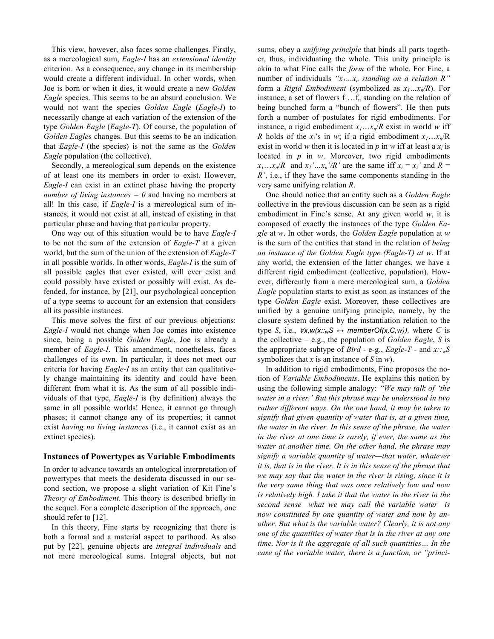This view, however, also faces some challenges. Firstly, as a mereological sum, *Eagle-I* has an *extensional identity* criterion. As a consequence, any change in its membership would create a different individual. In other words, when Joe is born or when it dies, it would create a new *Golden Eagle* species. This seems to be an absurd conclusion. We would not want the species *Golden Eagle* (*Eagle-I*) to necessarily change at each variation of the extension of the type *Golden Eagle* (*Eagle-T*). Of course, the population of *Golden Eagle*s changes. But this seems to be an indication that *Eagle-I* (the species) is not the same as the *Golden Eagle* population (the collective).

Secondly, a mereological sum depends on the existence of at least one its members in order to exist. However, *Eagle-I* can exist in an extinct phase having the property *number of living instances = 0* and having no members at all! In this case, if *Eagle-I* is a mereological sum of instances, it would not exist at all, instead of existing in that particular phase and having that particular property.

One way out of this situation would be to have *Eagle-I* to be not the sum of the extension of *Eagle-T* at a given world, but the sum of the union of the extension of *Eagle-T* in all possible worlds. In other words, *Eagle-I* is the sum of all possible eagles that ever existed, will ever exist and could possibly have existed or possibly will exist. As defended, for instance, by [21], our psychological conception of a type seems to account for an extension that considers all its possible instances.

This move solves the first of our previous objections: *Eagle-I* would not change when Joe comes into existence since, being a possible *Golden Eagle*, Joe is already a member of *Eagle-I*. This amendment, nonetheless, faces challenges of its own. In particular, it does not meet our criteria for having *Eagle-I* as an entity that can qualitatively change maintaining its identity and could have been different from what it is. As the sum of all possible individuals of that type, *Eagle-I* is (by definition) always the same in all possible worlds! Hence, it cannot go through phases; it cannot change any of its properties; it cannot exist *having no living instances* (i.e., it cannot exist as an extinct species).

### **Instances of Powertypes as Variable Embodiments**

In order to advance towards an ontological interpretation of powertypes that meets the desiderata discussed in our second section, we propose a slight variation of Kit Fine's *Theory of Embodiment*. This theory is described briefly in the sequel. For a complete description of the approach, one should refer to [12].

In this theory, Fine starts by recognizing that there is both a formal and a material aspect to parthood. As also put by [22], genuine objects are *integral individuals* and not mere mereological sums. Integral objects, but not

sums, obey a *unifying principle* that binds all parts together, thus, individuating the whole. This unity principle is akin to what Fine calls the *form* of the whole. For Fine, a number of individuals " $x_1...x_n$  *standing on a relation R*" form a *Rigid Embodiment* (symbolized as  $x_1...x_n/R$ ). For instance, a set of flowers  $f_1 \dots f_n$  standing on the relation of being bunched form a "bunch of flowers". He then puts forth a number of postulates for rigid embodiments. For instance, a rigid embodiment  $x_1 \nvert x_n/R$  exist in world *w* iff *R* holds of the  $x_i$ 's in *w*; if a rigid embodiment  $x_1 \text{…} x_n/R$ exist in world *w* then it is located in *p* in *w* iff at least a  $x_i$  is located in *p* in *w*. Moreover, two rigid embodiments  $x_1 \nvert x_n/R$  and  $x_1 \nvert x_n'/R'$  are the same iff  $x_i = x_i'$  and  $R =$ *R'*, i.e., if they have the same components standing in the very same unifying relation *R*.

One should notice that an entity such as a *Golden Eagle* collective in the previous discussion can be seen as a rigid embodiment in Fine's sense. At any given world *w*, it is composed of exactly the instances of the type *Golden Eagle* at *w*. In other words, the *Golden Eagle* population at *w* is the sum of the entities that stand in the relation of *being an instance of the Golden Eagle type (Eagle-T) at w*. If at any world, the extension of the latter changes, we have a different rigid embodiment (collective, population). However, differently from a mere mereological sum, a *Golden Eagle* population starts to exist as soon as instances of the type *Golden Eagle* exist. Moreover, these collectives are unified by a genuine unifying principle, namely, by the closure system defined by the instantiation relation to the type *S*, i.e.,  $\forall x, w(x::_wS \leftrightarrow memberOf(x, C, w))$ , where *C* is the collective – e.g., the population of *Golden Eagle*, *S* is the appropriate subtype of *Bird* - e-g., *Eagle-T* - and  $x: y \in S$ symbolizes that *x* is an instance of *S* in *w*).

In addition to rigid embodiments, Fine proposes the notion of *Variable Embodiments*. He explains this notion by using the following simple analogy: *"We may talk of 'the water in a river.' But this phrase may be understood in two rather different ways. On the one hand, it may be taken to signify that given quantity of water that is, at a given time, the water in the river. In this sense of the phrase, the water in the river at one time is rarely, if ever, the same as the water at another time. On the other hand, the phrase may signify a variable quantity of water—that water, whatever it is, that is in the river. It is in this sense of the phrase that we may say that the water in the river is rising, since it is the very same thing that was once relatively low and now is relatively high. I take it that the water in the river in the second sense—what we may call the variable water—is now constituted by one quantity of water and now by another. But what is the variable water? Clearly, it is not any one of the quantities of water that is in the river at any one time. Nor is it the aggregate of all such quantities… In the case of the variable water, there is a function, or "princi-*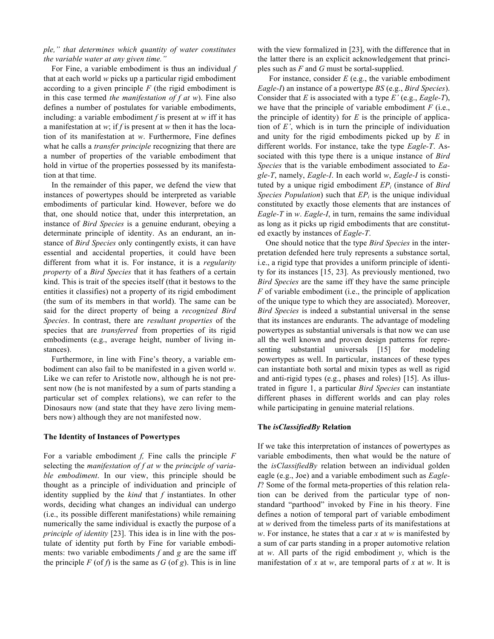## *ple," that determines which quantity of water constitutes the variable water at any given time."*

For Fine, a variable embodiment is thus an individual *f*  that at each world *w* picks up a particular rigid embodiment according to a given principle *F* (the rigid embodiment is in this case termed *the manifestation of f at w*). Fine also defines a number of postulates for variable embodiments, including: a variable embodiment *f* is present at *w* iff it has a manifestation at *w*; if *f* is present at *w* then it has the location of its manifestation at *w*. Furthermore, Fine defines what he calls a *transfer principle* recognizing that there are a number of properties of the variable embodiment that hold in virtue of the properties possessed by its manifestation at that time.

In the remainder of this paper, we defend the view that instances of powertypes should be interpreted as variable embodiments of particular kind. However, before we do that, one should notice that, under this interpretation, an instance of *Bird Species* is a genuine endurant, obeying a determinate principle of identity. As an endurant, an instance of *Bird Species* only contingently exists, it can have essential and accidental properties, it could have been different from what it is. For instance, it is a *regularity property* of a *Bird Species* that it has feathers of a certain kind. This is trait of the species itself (that it bestows to the entities it classifies) not a property of its rigid embodiment (the sum of its members in that world). The same can be said for the direct property of being a *recognized Bird Species*. In contrast, there are *resultant properties* of the species that are *transferred* from properties of its rigid embodiments (e.g., average height, number of living instances).

Furthermore, in line with Fine's theory, a variable embodiment can also fail to be manifested in a given world *w*. Like we can refer to Aristotle now, although he is not present now (he is not manifested by a sum of parts standing a particular set of complex relations), we can refer to the Dinosaurs now (and state that they have zero living members now) although they are not manifested now.

#### **The Identity of Instances of Powertypes**

For a variable embodiment *f,* Fine calls the principle *F*  selecting the *manifestation of f at w* the *principle of variable embodiment*. In our view, this principle should be thought as a principle of individuation and principle of identity supplied by the *kind* that *f* instantiates. In other words, deciding what changes an individual can undergo (i.e., its possible different manifestations) while remaining numerically the same individual is exactly the purpose of a *principle of identity* [23]. This idea is in line with the postulate of identity put forth by Fine for variable embodiments: two variable embodiments *f* and *g* are the same iff the principle  $F$  (of  $f$ ) is the same as  $G$  (of  $g$ ). This is in line

with the view formalized in [23], with the difference that in the latter there is an explicit acknowledgement that principles such as *F* and *G* must be sortal-supplied.

For instance, consider *E* (e.g., the variable embodiment *Eagle-I*) an instance of a powertype *BS* (e.g., *Bird Species*). Consider that *E* is associated with a type *E'* (e.g., *Eagle-T*), we have that the principle of variable embodiment *F* (i.e., the principle of identity) for  $E$  is the principle of application of *E'*, which is in turn the principle of individuation and unity for the rigid embodiments picked up by *E* in different worlds. For instance, take the type *Eagle-T*. Associated with this type there is a unique instance of *Bird Species* that is the variable embodiment associated to *Eagle-T*, namely, *Eagle-I*. In each world *w*, *Eagle-I* is constituted by a unique rigid embodiment  $EP_i$  (instance of *Bird Species Population*) such that  $EP_i$  is the unique individual constituted by exactly those elements that are instances of *Eagle-T* in *w*. *Eagle-I*, in turn, remains the same individual as long as it picks up rigid embodiments that are constituted exactly by instances of *Eagle-T*.

One should notice that the type *Bird Species* in the interpretation defended here truly represents a substance sortal, i.e., a rigid type that provides a uniform principle of identity for its instances [15, 23]. As previously mentioned, two *Bird Species* are the same iff they have the same principle *F* of variable embodiment (i.e., the principle of application of the unique type to which they are associated). Moreover, *Bird Species* is indeed a substantial universal in the sense that its instances are endurants. The advantage of modeling powertypes as substantial universals is that now we can use all the well known and proven design patterns for representing substantial universals [15] for modeling powertypes as well. In particular, instances of these types can instantiate both sortal and mixin types as well as rigid and anti-rigid types (e.g., phases and roles) [15]. As illustrated in figure 1, a particular *Bird Species* can instantiate different phases in different worlds and can play roles while participating in genuine material relations.

## **The** *isClassifiedBy* **Relation**

If we take this interpretation of instances of powertypes as variable embodiments, then what would be the nature of the *isClassifiedBy* relation between an individual golden eagle (e.g., Joe) and a variable embodiment such as *Eagle-I*? Some of the formal meta-properties of this relation relation can be derived from the particular type of nonstandard "parthood" invoked by Fine in his theory. Fine defines a notion of temporal part of variable embodiment at *w* derived from the timeless parts of its manifestations at *w*. For instance, he states that a car *x* at *w* is manifested by a sum of car parts standing in a proper automotive relation at *w*. All parts of the rigid embodiment *y*, which is the manifestation of *x* at *w*, are temporal parts of *x* at *w*. It is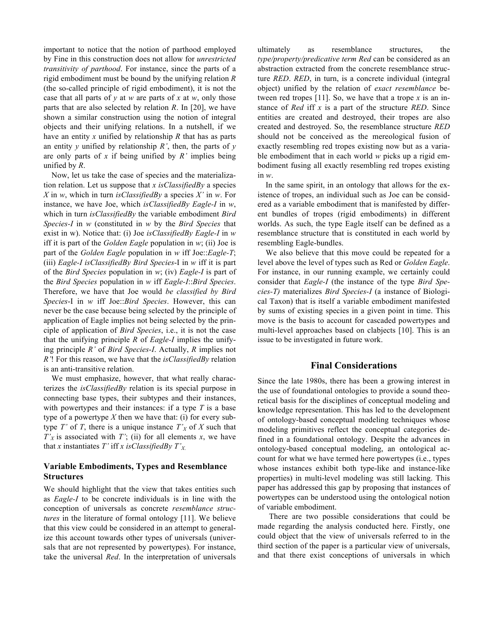important to notice that the notion of parthood employed by Fine in this construction does not allow for *unrestricted transitivity of parthood*. For instance, since the parts of a rigid embodiment must be bound by the unifying relation *R* (the so-called principle of rigid embodiment), it is not the case that all parts of *y* at *w* are parts of *x* at *w*, only those parts that are also selected by relation *R*. In [20], we have shown a similar construction using the notion of integral objects and their unifying relations. In a nutshell, if we have an entity *x* unified by relationship *R* that has as parts an entity *y* unified by relationship *R'*, then, the parts of *y* are only parts of *x* if being unified by *R'* implies being unified by *R*.

Now, let us take the case of species and the materialization relation. Let us suppose that *x isClassifiedBy* a species *X* in *w*, which in turn *isClassifiedBy* a species *X'* in *w*. For instance, we have Joe, which *isClassifiedBy Eagle-I* in *w*, which in turn *isClassifiedBy* the variable embodiment *Bird Species-I* in *w* (constituted in *w* by the *Bird Species* that exist in w). Notice that: (i) Joe *isClassifiedBy Eagle-I* in *w* iff it is part of the *Golden Eagle* population in *w*; (ii) Joe is part of the *Golden Eagle* population in *w* iff Joe::*Eagle-T*; (iii) *Eagle-I isClassifiedBy Bird Species*-I in *w* iff it is part of the *Bird Species* population in *w*; (iv) *Eagle-I* is part of the *Bird Species* population in *w* iff *Eagle-I*::*Bird Species*. Therefore, we have that Joe would *be classified by Bird Species*-I in *w* iff Joe::*Bird Species*. However, this can never be the case because being selected by the principle of application of Eagle implies not being selected by the principle of application of *Bird Species*, i.e., it is not the case that the unifying principle *R* of *Eagle-I* implies the unifying principle *R'* of *Bird Species*-*I*. Actually, *R* implies not *R'*! For this reason, we have that the *isClassifiedBy* relation is an anti-transitive relation.

We must emphasize, however, that what really characterizes the *isClassifiedBy* relation is its special purpose in connecting base types, their subtypes and their instances, with powertypes and their instances: if a type *T* is a base type of a powertype  $X$  then we have that: (i) for every subtype  $T'$  of  $T$ , there is a unique instance  $T'_{X}$  of  $X$  such that  $T'_{X}$  is associated with *T'*; (ii) for all elements *x*, we have that *x* instantiates *T*' iff *x isClassifiedBy*  $T'_{X}$ .

## **Variable Embodiments, Types and Resemblance Structures**

We should highlight that the view that takes entities such as *Eagle-I* to be concrete individuals is in line with the conception of universals as concrete *resemblance structures* in the literature of formal ontology [11]. We believe that this view could be considered in an attempt to generalize this account towards other types of universals (universals that are not represented by powertypes). For instance, take the universal *Red*. In the interpretation of universals

ultimately as resemblance structures, the *type/property/predicative term Red* can be considered as an abstraction extracted from the concrete resemblance structure *RED*. *RED*, in turn, is a concrete individual (integral object) unified by the relation of *exact resemblance* between red tropes [11]. So, we have that a trope *x* is an instance of *Red* iff *x* is a part of the structure *RED*. Since entities are created and destroyed, their tropes are also created and destroyed. So, the resemblance structure *RED* should not be conceived as the mereological fusion of exactly resembling red tropes existing now but as a variable embodiment that in each world *w* picks up a rigid embodiment fusing all exactly resembling red tropes existing in *w*.

In the same spirit, in an ontology that allows for the existence of tropes, an individual such as Joe can be considered as a variable embodiment that is manifested by different bundles of tropes (rigid embodiments) in different worlds. As such, the type Eagle itself can be defined as a resemblance structure that is constituted in each world by resembling Eagle-bundles.

We also believe that this move could be repeated for a level above the level of types such as Red or *Golden Eagle*. For instance, in our running example, we certainly could consider that *Eagle-I* (the instance of the type *Bird Species-T)* materializes *Bird Species-I* (a instance of Biological Taxon) that is itself a variable embodiment manifested by sums of existing species in a given point in time. This move is the basis to account for cascaded powertypes and multi-level approaches based on clabjects [10]. This is an issue to be investigated in future work.

## **Final Considerations**

Since the late 1980s, there has been a growing interest in the use of foundational ontologies to provide a sound theoretical basis for the disciplines of conceptual modeling and knowledge representation. This has led to the development of ontology-based conceptual modeling techniques whose modeling primitives reflect the conceptual categories defined in a foundational ontology. Despite the advances in ontology-based conceptual modeling, an ontological account for what we have termed here powertypes (i.e., types whose instances exhibit both type-like and instance-like properties) in multi-level modeling was still lacking. This paper has addressed this gap by proposing that instances of powertypes can be understood using the ontological notion of variable embodiment.

There are two possible considerations that could be made regarding the analysis conducted here. Firstly, one could object that the view of universals referred to in the third section of the paper is a particular view of universals, and that there exist conceptions of universals in which